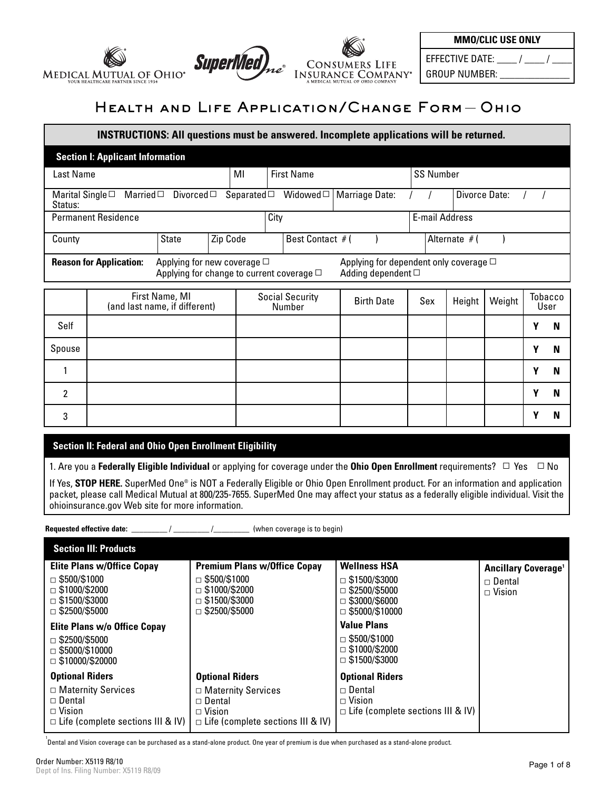



EFFECTIVE DATE:  $\frac{\ }{\ }$ GROUP NUMBER: \_\_\_\_\_\_\_\_\_\_\_\_\_\_

# Health and Life Application/Change Form Ohio

# **INSTRUCTIONS: All questions must be answered. Incomplete applications will be returned. Section I: Applicant Information** Last Name | MI | First Name | SS Number Marital Single $\Box$  Married $\Box$  Divorced $\Box$  Separated $\Box$  Widowed $\Box$  | Marriage Date: / / | Divorce Date: Status: Permanent Residence **City** E-mail Address **City City City City City City City City City City City City City City City City City City City City City City City City City City** County  $\begin{array}{ccc} \text{Start} & \text{2ip Code} & \text{Best Contact } \#( & ) & \text{Alternate } \#( & ) \end{array}$ Self First Name, MI First Name, MI Social Security<br>(and last name, if different) Social Security Number Tobacco<br>User Birth Date | Sex | Height | Weight **Y N Reason for Application:** Applying for new coverage □ Applying for dependent only coverage □<br>Adding dependent □ Applying for change to current coverage  $\Box$

| Self   |  |  |  | v | N |
|--------|--|--|--|---|---|
| Spouse |  |  |  | v | N |
|        |  |  |  | v | N |
| ີ      |  |  |  | v | N |
| ົ      |  |  |  | v | N |

# **Section II: Federal and Ohio Open Enrollment Eligibility**

1. Are you a **Federally Eligible Individual** or applying for coverage under the **Ohio Open Enrollment** requirements? ▫ Yes ▫ No

If Yes, **STOP HERE.** SuperMed One® is NOT a Federally Eligible or Ohio Open Enrollment product. For an information and application packet, please call Medical Mutual at 800/235-7655. SuperMed One may affect your status as a federally eligible individual. Visit the ohioinsurance.gov Web site for more information.

**Requested effective date:** \_\_\_\_\_\_\_\_\_\_/ \_\_\_\_\_\_\_\_\_ /\_\_\_\_\_\_\_\_\_\_ (when coverage is to begin)

| <b>Section III: Products</b>                                                                            |                                                                                                    |                                                                            |                                       |
|---------------------------------------------------------------------------------------------------------|----------------------------------------------------------------------------------------------------|----------------------------------------------------------------------------|---------------------------------------|
| <b>Elite Plans w/Office Copay</b>                                                                       | <b>Premium Plans w/Office Copay</b>                                                                | <b>Wellness HSA</b>                                                        | <b>Ancillary Coverage<sup>1</sup></b> |
| $\Box$ \$500/\$1000<br>$\Box$ \$1000/\$2000                                                             | $\Box$ \$500/\$1000<br>$\Box$ \$1000/\$2000                                                        | \$1500/\$3000<br>П<br>\$2500/\$5000<br>п                                   | $\Box$ Dental<br>$\Box$ Vision        |
| $\Box$ \$1500/\$3000<br>$\Box$ \$2500/\$5000                                                            | $\Box$ \$1500/\$3000<br>$\Box$ \$2500/\$5000                                                       | \$3000/\$6000<br>П<br>$\Box$ \$5000/\$10000                                |                                       |
| <b>Elite Plans w/o Office Copay</b>                                                                     |                                                                                                    | <b>Value Plans</b>                                                         |                                       |
| $\Box$ \$2500/\$5000<br>$\Box$ \$5000/\$10000<br>$\Box$ \$10000/\$20000                                 |                                                                                                    | $\Box$ \$500/\$1000<br>$\Box$ \$1000/\$2000<br>$\Box$ \$1500/\$3000        |                                       |
| <b>Optional Riders</b>                                                                                  | <b>Optional Riders</b>                                                                             | <b>Optional Riders</b>                                                     |                                       |
| $\Box$ Maternity Services<br>$\Box$ Dental<br>$\Box$ Vision<br>$\Box$ Life (complete sections III & IV) | □ Maternity Services<br>$\Box$ Dental<br>$\Box$ Vision<br>$\Box$ Life (complete sections III & IV) | $\Box$ Dental<br>$\Box$ Vision<br>$\Box$ Life (complete sections III & IV) |                                       |

1 Dental and Vision coverage can be purchased as a stand-alone product. One year of premium is due when purchased as a stand-alone product.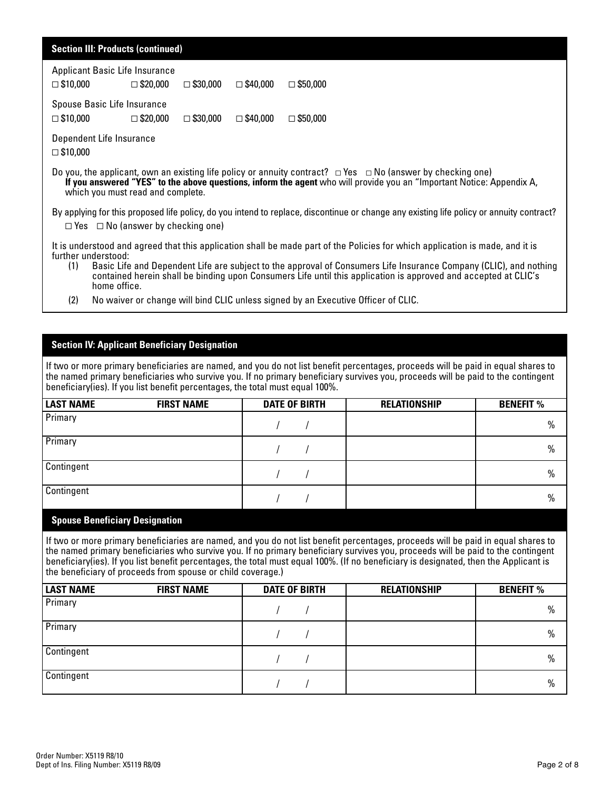| <b>Section III: Products (continued)</b>                                                                                                                                                                                                                                            |  |  |  |  |  |
|-------------------------------------------------------------------------------------------------------------------------------------------------------------------------------------------------------------------------------------------------------------------------------------|--|--|--|--|--|
| Applicant Basic Life Insurance<br>$\Box$ \$10,000<br>$\Box$ \$20,000<br>$\Box$ \$30,000<br>$\Box$ \$40,000<br>$\Box$ \$50,000                                                                                                                                                       |  |  |  |  |  |
| Spouse Basic Life Insurance<br>$\Box$ \$10,000<br>$\square$ \$20,000<br>$\Box$ \$30,000<br>$\Box$ \$40,000<br>$\Box$ \$50,000                                                                                                                                                       |  |  |  |  |  |
| Dependent Life Insurance<br>$\Box$ \$10,000                                                                                                                                                                                                                                         |  |  |  |  |  |
| Do you, the applicant, own an existing life policy or annuity contract? $\Box$ Yes $\Box$ No (answer by checking one)<br>If you answered "YES" to the above questions, inform the agent who will provide you an "Important Notice: Appendix A,<br>which you must read and complete. |  |  |  |  |  |
| By applying for this proposed life policy, do you intend to replace, discontinue or change any existing life policy or annuity contract?<br>$\Box$ Yes $\Box$ No (answer by checking one)                                                                                           |  |  |  |  |  |
| It is understood and agreed that this application shall be made part of the Policies for which application is made, and it is<br>further understood:                                                                                                                                |  |  |  |  |  |

- (1) Basic Life and Dependent Life are subject to the approval of Consumers Life Insurance Company (CLIC), and nothing contained herein shall be binding upon Consumers Life until this application is approved and accepted at CLIC's home office.
- (2) No waiver or change will bind CLIC unless signed by an Executive Officer of CLIC.

## **Section IV: Applicant Beneficiary Designation**

If two or more primary beneficiaries are named, and you do not list benefit percentages, proceeds will be paid in equal shares to the named primary beneficiaries who survive you. If no primary beneficiary survives you, proceeds will be paid to the contingent beneficiary(ies). If you list benefit percentages, the total must equal 100%.

| <b>LAST NAME</b> | <b>FIRST NAME</b> | <b>DATE OF BIRTH</b> | <b>RELATIONSHIP</b> | <b>BENEFIT %</b> |
|------------------|-------------------|----------------------|---------------------|------------------|
| Primary          |                   |                      |                     | $\%$             |
| Primary          |                   |                      |                     | $\%$             |
| Contingent       |                   |                      |                     | $\%$             |
| Contingent       |                   |                      |                     | $\%$             |

## **Spouse Beneficiary Designation**

If two or more primary beneficiaries are named, and you do not list benefit percentages, proceeds will be paid in equal shares to the named primary beneficiaries who survive you. If no primary beneficiary survives you, proceeds will be paid to the contingent beneficiary(ies). If you list benefit percentages, the total must equal 100%. (If no beneficiary is designated, then the Applicant is the beneficiary of proceeds from spouse or child coverage.)

| <b>LAST NAME</b> | <b>FIRST NAME</b> | <b>DATE OF BIRTH</b> | <b>RELATIONSHIP</b> | <b>BENEFIT %</b> |
|------------------|-------------------|----------------------|---------------------|------------------|
| Primary          |                   |                      |                     | $\%$             |
| Primary          |                   |                      |                     | $\%$             |
| Contingent       |                   |                      |                     | $\%$             |
| Contingent       |                   |                      |                     | $\frac{0}{0}$    |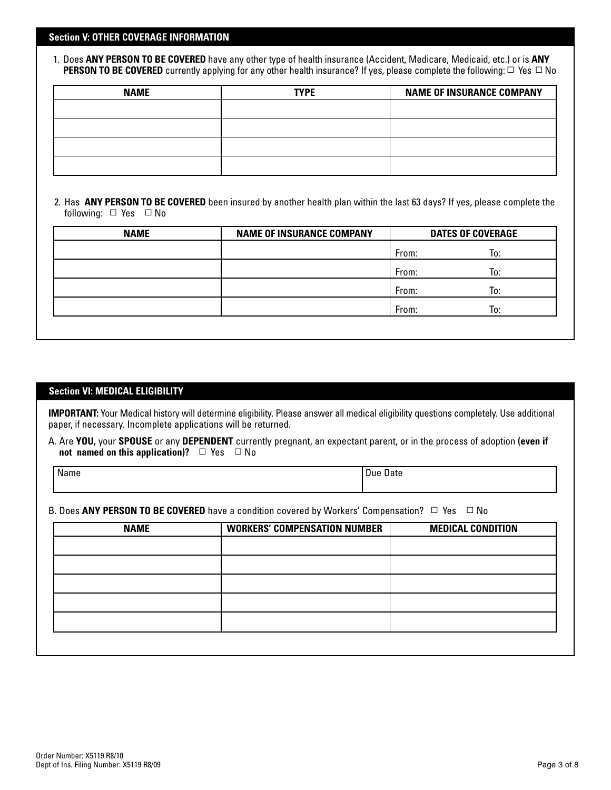#### **Section V: OTHER COVERAGE INFORMATION**

1. Does **ANY PERSON TO BE COVERED** have any other type of health insurance (Accident, Medicare, Medicaid, etc.) or is **ANY PERSON TO BE COVERED** currently applying for any other health insurance? If yes, please complete the following:  $\Box$  Yes  $\Box$  No

| <b>NAME</b> | <b>TYPE</b> | <b>NAME OF INSURANCE COMPANY</b> |
|-------------|-------------|----------------------------------|
|             |             |                                  |
|             |             |                                  |
|             |             |                                  |
|             |             |                                  |

2. Has **ANY PERSON TO BE COVERED** been insured by another health plan within the last 63 days? If yes, please complete the following:  $\Box$  Yes  $\Box$  No

| <b>NAME</b> | <b>NAME OF INSURANCE COMPANY</b> | <b>DATES OF COVERAGE</b> |     |
|-------------|----------------------------------|--------------------------|-----|
|             |                                  | From:                    | lo: |
|             |                                  | From:                    | To: |
|             |                                  | From:                    | To: |
|             |                                  | From:                    | lo: |
|             |                                  |                          |     |

# **Section VI: MEDICAL ELIGIBILITY**

**IMPORTANT:** Your Medical history will determine eligibility. Please answer all medical eligibility questions completely. Use additional paper, if necessary. Incomplete applications will be returned.

A. Are **YOU,** your **SPOUSE** or any **DEPENDENT** currently pregnant, an expectant parent, or in the process of adoption **(even if not named on this application)?** □ Yes □ No

Name Due Date is a state of the contract of the Date of the Date of the Date of the Date of the Date of the Date

B. Does ANY PERSON TO BE COVERED have a condition covered by Workers' Compensation? □ Yes □ No

| <b>NAME</b> | <b>WORKERS' COMPENSATION NUMBER</b> | <b>MEDICAL CONDITION</b> |
|-------------|-------------------------------------|--------------------------|
|             |                                     |                          |
|             |                                     |                          |
|             |                                     |                          |
|             |                                     |                          |
|             |                                     |                          |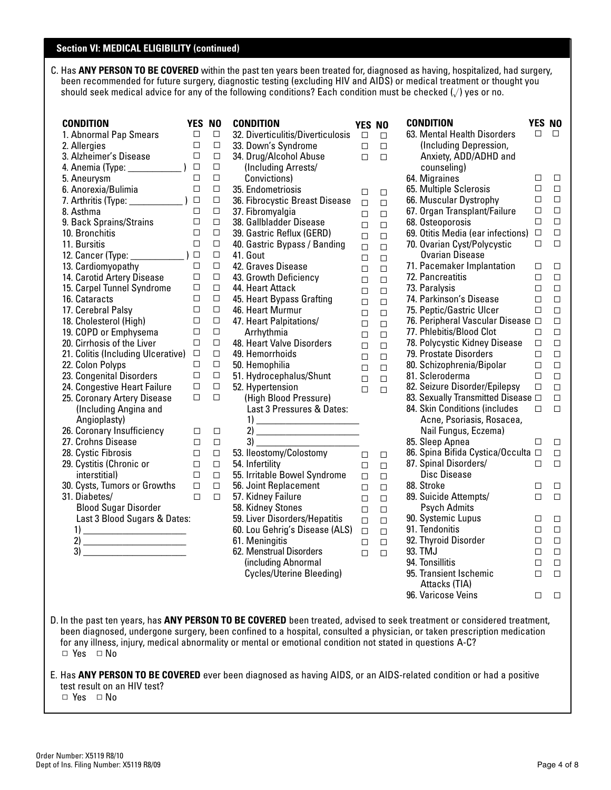#### **Section VI: MEDICAL ELIGIBILITY (continued)**

C. Has **ANY PERSON TO BE COVERED** within the past ten years been treated for, diagnosed as having, hospitalized, had surgery, been recommended for future surgery, diagnostic testing (excluding HIV and AIDS) or medical treatment or thought you should seek medical advice for any of the following conditions? Each condition must be checked  $(\sqrt)$  yes or no.

> **YES NO**  $\Box$  $\Box$  $\Box$

 $\Box$  $\Box$  $\Box$ 

 $\Box$  $\Box$  $\Box$  $\Box$  $\Box$  $\Box$  $\Box$  $\Box$  $\Box$  $\Box$  $\Box$  $\Box$  $\Box$  $\Box$  $\Box$  $\Box$  $\Box$  $\Box$  $\Box$ 

 $\Box$  $\Box$  $\Box$  $\Box$  $\Box$  $\Box$  $\Box$  $\Box$  $\Box$  $\Box$  $\Box$  $\Box$  $\Box$  $\Box$  $\Box$  $\Box$  $\Box$  $\Box$  $\Box$ 

| <b>CONDITION</b><br>1. Abnormal Pap Smears<br>2. Allergies<br>3. Alzheimer's Disease<br>4. Anemia (Type: _____________) □<br>5. Aneurysm<br>6. Anorexia/Bulimia<br>7. Arthritis (Type: _______________) □<br>8. Asthma<br>9. Back Sprains/Strains<br>10. Bronchitis<br>11. Bursitis<br>12. Cancer (Type: ______________) □<br>13. Cardiomyopathy<br>14. Carotid Artery Disease<br>15. Carpel Tunnel Syndrome<br>16. Cataracts<br>17. Cerebral Palsy<br>18. Cholesterol (High)<br>19. COPD or Emphysema<br>20. Cirrhosis of the Liver<br>21. Colitis (Including Ulcerative)<br>22. Colon Polyps<br>23. Congenital Disorders<br>24. Congestive Heart Failure<br>25. Coronary Artery Disease | <b>YES NO</b><br>П<br>□<br>$\Box$<br>$\Box$<br>□<br>$\Box$<br>$\Box$<br>$\Box$<br>$\Box$<br>$\Box$<br>□<br>$\Box$<br>□<br>П<br>□<br>□<br>□<br>□<br>$\Box$<br>□<br>□<br>□ | $\Box$<br>□<br>$\Box$<br>□<br>$\Box$<br>$\Box$<br>$\Box$<br>$\Box$<br>□<br>□<br>$\Box$<br>□<br>$\Box$<br>□<br>□<br>□<br>□<br>□<br>□<br>□<br>□<br>$\Box$<br>□<br>□<br>$\Box$ | <b>CONDITION</b><br>32. Diverticulitis/Diverticulosis<br>33. Down's Syndrome<br>34. Drug/Alcohol Abuse<br>(Including Arrests/<br>Convictions)<br>35. Endometriosis<br>36. Fibrocystic Breast Disease<br>37. Fibromyalgia<br>38. Gallbladder Disease<br>39. Gastric Reflux (GERD)<br>40. Gastric Bypass / Banding<br>41. Gout<br>42. Graves Disease<br>43. Growth Deficiency<br>44. Heart Attack<br>45. Heart Bypass Grafting<br>46. Heart Murmur<br>47. Heart Palpitations/<br>Arrhythmia<br>48. Heart Valve Disorders<br>49. Hemorrhoids<br>50. Hemophilia<br>51. Hydrocephalus/Shunt<br>52. Hypertension<br>(High Blood Pressure) |  |
|-------------------------------------------------------------------------------------------------------------------------------------------------------------------------------------------------------------------------------------------------------------------------------------------------------------------------------------------------------------------------------------------------------------------------------------------------------------------------------------------------------------------------------------------------------------------------------------------------------------------------------------------------------------------------------------------|--------------------------------------------------------------------------------------------------------------------------------------------------------------------------|-----------------------------------------------------------------------------------------------------------------------------------------------------------------------------|-------------------------------------------------------------------------------------------------------------------------------------------------------------------------------------------------------------------------------------------------------------------------------------------------------------------------------------------------------------------------------------------------------------------------------------------------------------------------------------------------------------------------------------------------------------------------------------------------------------------------------------|--|
| (Including Angina and<br>Angioplasty)<br>26. Coronary Insufficiency<br>27. Crohns Disease<br>28. Cystic Fibrosis<br>29. Cystitis (Chronic or<br>interstitial)<br>30. Cysts, Tumors or Growths<br>31. Diabetes/<br><b>Blood Sugar Disorder</b><br>Last 3 Blood Sugars & Dates:<br>$\overline{1}$<br>$\begin{tabular}{c} 3) \end{tabular}$                                                                                                                                                                                                                                                                                                                                                  | $\Box$<br>Π<br>$\Box$<br>$\Box$<br>п<br>□<br>$\Box$                                                                                                                      | $\Box$<br>$\Box$<br>$\Box$<br>$\Box$<br>□<br>□<br>$\Box$                                                                                                                    | Last 3 Pressures & Dates:<br>$\overline{1}$<br>53. Ileostomy/Colostomy<br>54. Infertility<br>55. Irritable Bowel Syndrome<br>56. Joint Replacement<br>57. Kidney Failure<br>58. Kidney Stones<br>59. Liver Disorders/Hepatitis<br>60. Lou Gehrig's Disease (ALS)<br>61. Meningitis<br>62. Menstrual Disorders<br>(including Abnormal<br>Cycles/Uterine Bleeding)                                                                                                                                                                                                                                                                    |  |

| CONDITION                          | YES    | N0     |
|------------------------------------|--------|--------|
| 63. Mental Health Disorders        | □      | п      |
| (Including Depression,             |        |        |
| Anxiety, ADD/ADHD and              |        |        |
| counseling)                        |        |        |
| 64. Migraines                      | □      | □      |
| 65. Multiple Sclerosis             | $\Box$ | П      |
| 66. Muscular Dystrophy             | $\Box$ | $\Box$ |
| 67. Organ Transplant/Failure       | $\Box$ | $\Box$ |
| 68. Osteoporosis                   | $\Box$ | $\Box$ |
| 69. Otitis Media (ear infections)  | $\Box$ | $\Box$ |
| 70. Ovarian Cyst/Polycystic        | П      | □      |
| <b>Ovarian Disease</b>             |        |        |
| 71. Pacemaker Implantation         | □      | □      |
| 72. Pancreatitis                   | $\Box$ | □      |
| 73. Paralysis                      | $\Box$ | $\Box$ |
| 74. Parkinson's Disease            | $\Box$ | $\Box$ |
| 75. Peptic/Gastric Ulcer           | П      | $\Box$ |
| 76. Peripheral Vascular Disease    | $\Box$ | $\Box$ |
| 77. Phlebitis/Blood Clot           | П      | $\Box$ |
| 78. Polycystic Kidney Disease      | $\Box$ | □      |
| 79. Prostate Disorders             | $\Box$ | $\Box$ |
| 80. Schizophrenia/Bipolar          | $\Box$ | □      |
| 81. Scleroderma                    | $\Box$ | $\Box$ |
| 82. Seizure Disorder/Epilepsy      | П      | $\Box$ |
| 83. Sexually Transmitted Disease □ |        | □      |
| 84. Skin Conditions (includes      | п      | $\Box$ |
| Acne, Psoriasis, Rosacea,          |        |        |
| Nail Fungus, Eczema)               |        |        |
| 85. Sleep Apnea                    | п      | □      |
| 86. Spina Bifida Cystica/Occulta □ |        | П      |
| 87. Spinal Disorders/              | П      | $\Box$ |
| Disc Disease                       |        |        |
| 88. Stroke                         | □      | □      |
| 89. Suicide Attempts/              | $\Box$ | П      |
| <b>Psych Admits</b>                |        |        |
| 90. Systemic Lupus                 | □      | □      |
| 91. Tendonitis                     | $\Box$ | □      |
| 92. Thyroid Disorder               | $\Box$ | $\Box$ |
| 93. TMJ                            | $\Box$ | $\Box$ |
| 94. Tonsillitis                    | $\Box$ | $\Box$ |
| 95. Transient Ischemic             | $\Box$ | $\Box$ |
| Attacks (TIA)                      |        |        |
| 96. Varicose Veins                 | □      | □      |
|                                    |        |        |

D. In the past ten years, has **ANY PERSON TO BE COVERED** been treated, advised to seek treatment or considered treatment, been diagnosed, undergone surgery, been confined to a hospital, consulted a physician, or taken prescription medication for any illness, injury, medical abnormality or mental or emotional condition not stated in questions A-C? ▫ Yes ▫ No

 $\Box$  $\Box$  $\Box$  $\Box$  $\Box$  $\Box$  $\Box$  $\Box$  $\Box$  $\Box$ 

 $\Box$  $\Box$  $\Box$  $\Box$  $\Box$  $\Box$  $\Box$  $\Box$  $\Box$  $\Box$ 

E. Has **ANY PERSON TO BE COVERED** ever been diagnosed as having AIDS, or an AIDS-related condition or had a positive test result on an HIV test?

 $\Box$  Yes  $\Box$  No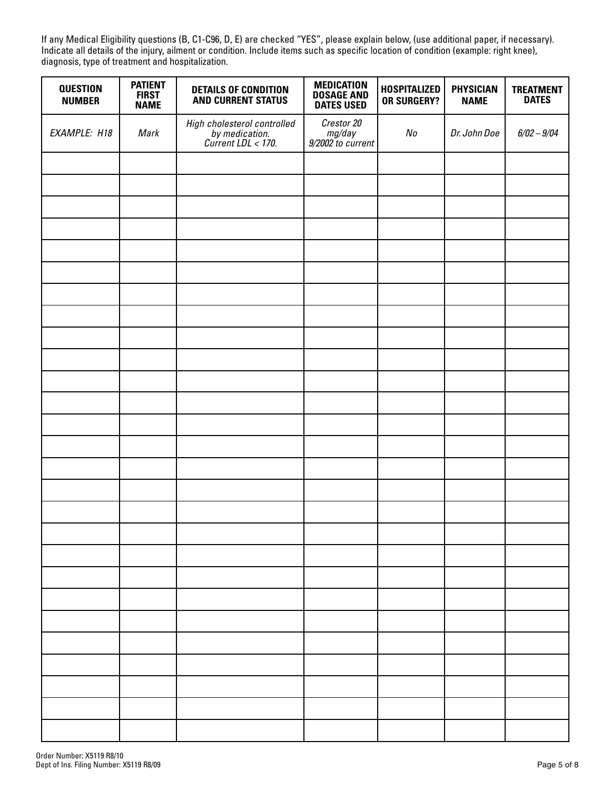If any Medical Eligibility questions (B, C1-C96, D, E) are checked "YES", please explain below, (use additional paper, if necessary). Indicate all details of the injury, ailment or condition. Include items such as specific location of condition (example: right knee), diagnosis, type of treatment and hospitalization.

| <b>QUESTION</b><br><b>NUMBER</b> | <b>PATIENT</b><br><b>FIRST</b><br><b>NAME</b> | <b>DETAILS OF CONDITION</b><br><b>AND CURRENT STATUS</b>            | <b>MEDICATION</b><br><b>DOSAGE AND</b><br><b>DATES USED</b> | <b>HOSPITALIZED</b><br><b>OR SURGERY?</b> | <b>PHYSICIAN</b><br><b>NAME</b> | <b>TREATMENT</b><br><b>DATES</b> |
|----------------------------------|-----------------------------------------------|---------------------------------------------------------------------|-------------------------------------------------------------|-------------------------------------------|---------------------------------|----------------------------------|
| EXAMPLE: H18                     | Mark                                          | High cholesterol controlled<br>by medication.<br>Current LDL < 170. | Crestor 20<br>mg/day<br>9/2002 to current                   | No                                        | Dr. John Doe                    | $6/02 - 9/04$                    |
|                                  |                                               |                                                                     |                                                             |                                           |                                 |                                  |
|                                  |                                               |                                                                     |                                                             |                                           |                                 |                                  |
|                                  |                                               |                                                                     |                                                             |                                           |                                 |                                  |
|                                  |                                               |                                                                     |                                                             |                                           |                                 |                                  |
|                                  |                                               |                                                                     |                                                             |                                           |                                 |                                  |
|                                  |                                               |                                                                     |                                                             |                                           |                                 |                                  |
|                                  |                                               |                                                                     |                                                             |                                           |                                 |                                  |
|                                  |                                               |                                                                     |                                                             |                                           |                                 |                                  |
|                                  |                                               |                                                                     |                                                             |                                           |                                 |                                  |
|                                  |                                               |                                                                     |                                                             |                                           |                                 |                                  |
|                                  |                                               |                                                                     |                                                             |                                           |                                 |                                  |
|                                  |                                               |                                                                     |                                                             |                                           |                                 |                                  |
|                                  |                                               |                                                                     |                                                             |                                           |                                 |                                  |
|                                  |                                               |                                                                     |                                                             |                                           |                                 |                                  |
|                                  |                                               |                                                                     |                                                             |                                           |                                 |                                  |
|                                  |                                               |                                                                     |                                                             |                                           |                                 |                                  |
|                                  |                                               |                                                                     |                                                             |                                           |                                 |                                  |
|                                  |                                               |                                                                     |                                                             |                                           |                                 |                                  |
|                                  |                                               |                                                                     |                                                             |                                           |                                 |                                  |
|                                  |                                               |                                                                     |                                                             |                                           |                                 |                                  |
|                                  |                                               |                                                                     |                                                             |                                           |                                 |                                  |
|                                  |                                               |                                                                     |                                                             |                                           |                                 |                                  |
|                                  |                                               |                                                                     |                                                             |                                           |                                 |                                  |
|                                  |                                               |                                                                     |                                                             |                                           |                                 |                                  |
|                                  |                                               |                                                                     |                                                             |                                           |                                 |                                  |
|                                  |                                               |                                                                     |                                                             |                                           |                                 |                                  |
|                                  |                                               |                                                                     |                                                             |                                           |                                 |                                  |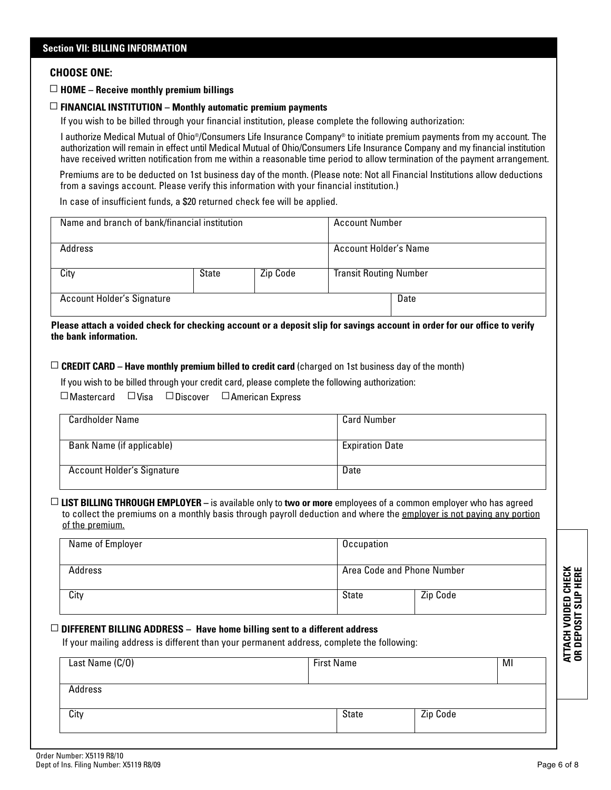#### **CHOOSE ONE:**

# **Section VII: BILLING INFORMATION** ▫ **HOME – Receive monthly premium billings**

#### ▫ **FINANCIAL INSTITUTION – Monthly automatic premium payments**

If you wish to be billed through your financial institution, please complete the following authorization:

I authorize Medical Mutual of Ohio®/Consumers Life Insurance Company® to initiate premium payments from my account. The authorization will remain in effect until Medical Mutual of Ohio/Consumers Life Insurance Company and my financial institution have received written notification from me within a reasonable time period to allow termination of the payment arrangement.

Premiums are to be deducted on 1st business day of the month. (Please note: Not all Financial Institutions allow deductions from a savings account. Please verify this information with your financial institution.)

In case of insufficient funds, a \$20 returned check fee will be applied.

| Name and branch of bank/financial institution |              |          | <b>Account Number</b>         |      |
|-----------------------------------------------|--------------|----------|-------------------------------|------|
| Address                                       |              |          | Account Holder's Name         |      |
| City                                          | <b>State</b> | Zip Code | <b>Transit Routing Number</b> |      |
| <b>Account Holder's Signature</b>             |              |          |                               | Date |

**Please attach a voided check for checking account or a deposit slip for savings account in order for our office to verify the bank information.**

 $\Box$  **CREDIT CARD – Have monthly premium billed to credit card** (charged on 1st business day of the month)

If you wish to be billed through your credit card, please complete the following authorization:

 $\Box$  Mastercard  $\Box$  Visa  $\Box$  Discover  $\Box$  American Express

| Cardholder Name                   | <b>Card Number</b>     |
|-----------------------------------|------------------------|
| Bank Name (if applicable)         | <b>Expiration Date</b> |
| <b>Account Holder's Signature</b> | Date                   |

▫ **LIST BILLING THROUGH EMPLOYER –** is available only to **two or more** employees of a common employer who has agreed to collect the premiums on a monthly basis through payroll deduction and where the employer is not paying any portion of the premium.

| Name of Employer                                                                          | Occupation    |                            |                              |
|-------------------------------------------------------------------------------------------|---------------|----------------------------|------------------------------|
| Address                                                                                   |               | Area Code and Phone Number |                              |
| City                                                                                      | State         | Zip Code                   | <b>HERE</b><br>igra<br>ins   |
| DIFFERENT BILLING ADDRESS - Have home billing sent to a different address                 |               |                            | <b>INSIDED</b><br>USSIT SLII |
| If your mailing address is different than your permanent address, complete the following: |               |                            | <b>ATTACH</b><br>OR DEP(     |
| $\sim$ Nome $(0/0)$                                                                       | $Time + Mean$ | <b>MI</b>                  |                              |

#### ▫ **DIFFERENT BILLING ADDRESS – Have home billing sent to a different address**

| Last Name (C/O) | <b>First Name</b> |          | MI |  |
|-----------------|-------------------|----------|----|--|
| Address         |                   |          |    |  |
| City            | State             | Zip Code |    |  |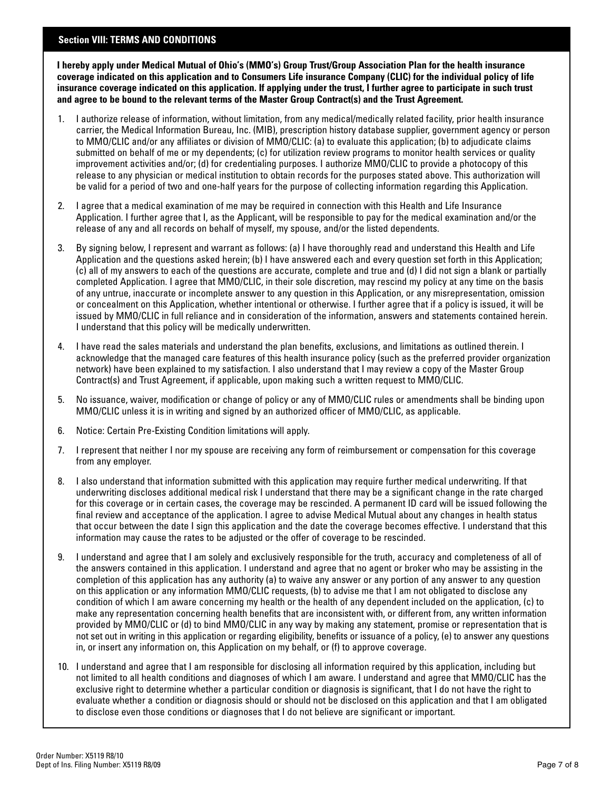#### **Section VIII: TERMS AND CONDITIONS**

**I hereby apply under Medical Mutual of Ohio's (MMO's) Group Trust/Group Association Plan for the health insurance coverage indicated on this application and to Consumers Life insurance Company (CLIC) for the individual policy of life insurance coverage indicated on this application. If applying under the trust, I further agree to participate in such trust and agree to be bound to the relevant terms of the Master Group Contract(s) and the Trust Agreement.**

- 1. I authorize release of information, without limitation, from any medical/medically related facility, prior health insurance carrier, the Medical Information Bureau, Inc. (MIB), prescription history database supplier, government agency or person to MMO/CLIC and/or any affiliates or division of MMO/CLIC: (a) to evaluate this application; (b) to adjudicate claims submitted on behalf of me or my dependents; (c) for utilization review programs to monitor health services or quality improvement activities and/or; (d) for credentialing purposes. I authorize MMO/CLIC to provide a photocopy of this release to any physician or medical institution to obtain records for the purposes stated above. This authorization will be valid for a period of two and one-half years for the purpose of collecting information regarding this Application.
- 2. I agree that a medical examination of me may be required in connection with this Health and Life Insurance Application. I further agree that I, as the Applicant, will be responsible to pay for the medical examination and/or the release of any and all records on behalf of myself, my spouse, and/or the listed dependents.
- 3. By signing below, I represent and warrant as follows: (a) I have thoroughly read and understand this Health and Life Application and the questions asked herein; (b) I have answered each and every question set forth in this Application; (c) all of my answers to each of the questions are accurate, complete and true and (d) I did not sign a blank or partially completed Application. I agree that MMO/CLIC, in their sole discretion, may rescind my policy at any time on the basis of any untrue, inaccurate or incomplete answer to any question in this Application, or any misrepresentation, omission or concealment on this Application, whether intentional or otherwise. I further agree that if a policy is issued, it will be issued by MMO/CLIC in full reliance and in consideration of the information, answers and statements contained herein. I understand that this policy will be medically underwritten.
- 4. I have read the sales materials and understand the plan benefits, exclusions, and limitations as outlined therein. I acknowledge that the managed care features of this health insurance policy (such as the preferred provider organization network) have been explained to my satisfaction. I also understand that I may review a copy of the Master Group Contract(s) and Trust Agreement, if applicable, upon making such a written request to MMO/CLIC.
- 5. No issuance, waiver, modification or change of policy or any of MMO/CLIC rules or amendments shall be binding upon MMO/CLIC unless it is in writing and signed by an authorized officer of MMO/CLIC, as applicable.
- 6. Notice: Certain Pre-Existing Condition limitations will apply.
- 7. I represent that neither I nor my spouse are receiving any form of reimbursement or compensation for this coverage from any employer.
- 8. I also understand that information submitted with this application may require further medical underwriting. If that underwriting discloses additional medical risk I understand that there may be a significant change in the rate charged for this coverage or in certain cases, the coverage may be rescinded. A permanent ID card will be issued following the final review and acceptance of the application. I agree to advise Medical Mutual about any changes in health status that occur between the date I sign this application and the date the coverage becomes effective. I understand that this information may cause the rates to be adjusted or the offer of coverage to be rescinded.
- 9. I understand and agree that I am solely and exclusively responsible for the truth, accuracy and completeness of all of the answers contained in this application. I understand and agree that no agent or broker who may be assisting in the completion of this application has any authority (a) to waive any answer or any portion of any answer to any question on this application or any information MMO/CLIC requests, (b) to advise me that I am not obligated to disclose any condition of which I am aware concerning my health or the health of any dependent included on the application, (c) to make any representation concerning health benefits that are inconsistent with, or different from, any written information provided by MMO/CLIC or (d) to bind MMO/CLIC in any way by making any statement, promise or representation that is not set out in writing in this application or regarding eligibility, benefits or issuance of a policy, (e) to answer any questions in, or insert any information on, this Application on my behalf, or (f) to approve coverage.
- 10. I understand and agree that I am responsible for disclosing all information required by this application, including but not limited to all health conditions and diagnoses of which I am aware. I understand and agree that MMO/CLIC has the exclusive right to determine whether a particular condition or diagnosis is significant, that I do not have the right to evaluate whether a condition or diagnosis should or should not be disclosed on this application and that I am obligated to disclose even those conditions or diagnoses that I do not believe are significant or important.